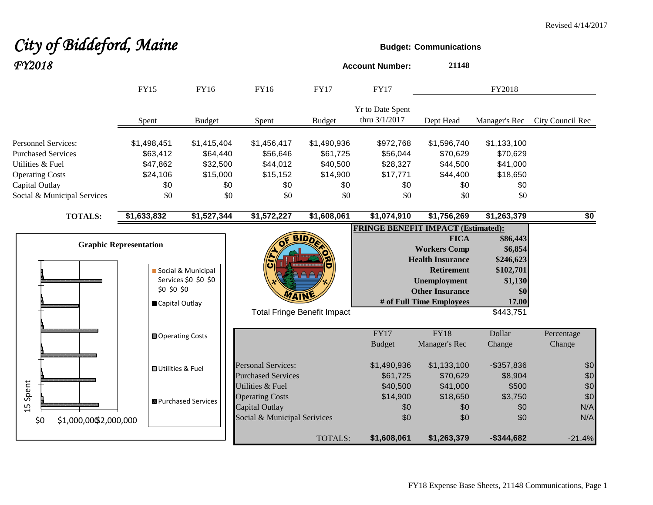# **City of Biddeford, Maine Budget:** Communications

| FY2018                                                  |                                                                |                                            |                                                                                              |                                    | <b>Account Number:</b>                    | 21148                                                                                                                                                           |                                                                          |                          |
|---------------------------------------------------------|----------------------------------------------------------------|--------------------------------------------|----------------------------------------------------------------------------------------------|------------------------------------|-------------------------------------------|-----------------------------------------------------------------------------------------------------------------------------------------------------------------|--------------------------------------------------------------------------|--------------------------|
|                                                         | <b>FY15</b>                                                    | <b>FY16</b>                                | <b>FY16</b>                                                                                  | <b>FY17</b>                        | <b>FY17</b>                               |                                                                                                                                                                 | FY2018                                                                   |                          |
|                                                         | Spent                                                          | <b>Budget</b>                              | Spent                                                                                        | <b>Budget</b>                      | Yr to Date Spent<br>thru 3/1/2017         | Dept Head                                                                                                                                                       | Manager's Rec                                                            | City Council Rec         |
| <b>Personnel Services:</b><br><b>Purchased Services</b> | \$1,498,451<br>\$63,412                                        | \$1,415,404<br>\$64,440                    | \$1,456,417<br>\$56,646                                                                      | \$1,490,936<br>\$61,725            | \$972,768<br>\$56,044                     | \$1,596,740<br>\$70,629                                                                                                                                         | \$1,133,100<br>\$70,629                                                  |                          |
| Utilities & Fuel<br><b>Operating Costs</b>              | \$47,862<br>\$24,106                                           | \$32,500<br>\$15,000                       | \$44,012<br>\$15,152                                                                         | \$40,500<br>\$14,900               | \$28,327<br>\$17,771                      | \$44,500<br>\$44,400                                                                                                                                            | \$41,000<br>\$18,650                                                     |                          |
| Capital Outlay<br>Social & Municipal Services           | \$0<br>\$0                                                     | \$0<br>\$0                                 | \$0<br>\$0                                                                                   | \$0<br>\$0                         | \$0<br>\$0                                | \$0<br>\$0                                                                                                                                                      | \$0<br>\$0                                                               |                          |
| <b>TOTALS:</b>                                          | \$1,633,832                                                    | \$1,527,344                                | \$1,572,227                                                                                  | \$1,608,061                        | \$1,074,910                               | \$1,756,269                                                                                                                                                     | \$1,263,379                                                              | \$0                      |
|                                                         | <b>Graphic Representation</b><br>\$0 \$0 \$0<br>Capital Outlay | Social & Municipal<br>Services \$0 \$0 \$0 | WAIN                                                                                         | <b>Total Fringe Benefit Impact</b> | <b>FRINGE BENEFIT IMPACT (Estimated):</b> | <b>FICA</b><br><b>Workers Comp</b><br><b>Health Insurance</b><br><b>Retirement</b><br><b>Unemployment</b><br><b>Other Insurance</b><br># of Full Time Employees | \$86,443<br>\$6,854<br>\$246,623<br>\$102,701<br>\$1,130<br>\$0<br>17.00 |                          |
|                                                         | <b>□</b> Operating Costs                                       |                                            |                                                                                              |                                    | FY17<br><b>Budget</b>                     | FY18<br>Manager's Rec                                                                                                                                           | \$443,751<br>Dollar<br>Change                                            | Percentage<br>Change     |
|                                                         | <b>OUtilities &amp; Fuel</b>                                   |                                            | <b>Personal Services:</b><br><b>Purchased Services</b>                                       |                                    | \$1,490,936<br>\$61,725                   | \$1,133,100<br>\$70,629                                                                                                                                         | $-$ \$357,836<br>\$8,904                                                 | \$0<br>\$0               |
| Spent<br>$\overline{1}$                                 |                                                                | <b>B</b> Purchased Services                | Utilities & Fuel<br><b>Operating Costs</b><br>Capital Outlay<br>Social & Municipal Serivices |                                    | \$40,500<br>\$14,900<br>\$0<br>\$0        | \$41,000<br>\$18,650<br>\$0<br>\$0                                                                                                                              | \$500<br>\$3,750<br>\$0<br>\$0                                           | \$0<br>\$0<br>N/A<br>N/A |
| \$0<br>\$1,000,00\$2,000,000                            |                                                                |                                            |                                                                                              | TOTALS:                            | \$1,608,061                               | \$1,263,379                                                                                                                                                     | $-$ \$344,682                                                            | $-21.4%$                 |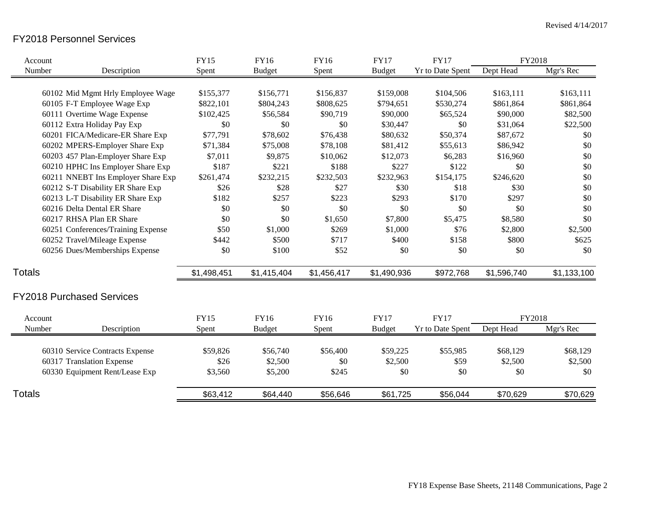## FY2018 Personnel Services

| Account       |                                    | <b>FY15</b> | <b>FY16</b>   | FY16        | <b>FY17</b>   | <b>FY17</b>             | FY2018      |             |
|---------------|------------------------------------|-------------|---------------|-------------|---------------|-------------------------|-------------|-------------|
| Number        | Description                        | Spent       | <b>Budget</b> | Spent       | <b>Budget</b> | <b>Yr to Date Spent</b> | Dept Head   | Mgr's Rec   |
|               |                                    |             |               |             |               |                         |             |             |
|               | 60102 Mid Mgmt Hrly Employee Wage  | \$155,377   | \$156,771     | \$156,837   | \$159,008     | \$104,506               | \$163,111   | \$163,111   |
|               | 60105 F-T Employee Wage Exp        | \$822,101   | \$804,243     | \$808,625   | \$794,651     | \$530,274               | \$861,864   | \$861,864   |
|               | 60111 Overtime Wage Expense        | \$102,425   | \$56,584      | \$90,719    | \$90,000      | \$65,524                | \$90,000    | \$82,500    |
|               | 60112 Extra Holiday Pay Exp        | \$0         | \$0           | \$0         | \$30,447      | \$0                     | \$31,064    | \$22,500    |
|               | 60201 FICA/Medicare-ER Share Exp   | \$77,791    | \$78,602      | \$76,438    | \$80,632      | \$50,374                | \$87,672    | \$0         |
|               | 60202 MPERS-Employer Share Exp     | \$71,384    | \$75,008      | \$78,108    | \$81,412      | \$55,613                | \$86,942    | \$0         |
|               | 60203 457 Plan-Employer Share Exp  | \$7,011     | \$9,875       | \$10,062    | \$12,073      | \$6,283                 | \$16,960    | \$0         |
|               | 60210 HPHC Ins Employer Share Exp  | \$187       | \$221         | \$188       | \$227         | \$122                   | \$0         | \$0         |
|               | 60211 NNEBT Ins Employer Share Exp | \$261,474   | \$232,215     | \$232,503   | \$232,963     | \$154,175               | \$246,620   | \$0         |
|               | 60212 S-T Disability ER Share Exp  | \$26        | \$28          | \$27        | \$30          | \$18                    | \$30        | \$0         |
|               | 60213 L-T Disability ER Share Exp  | \$182       | \$257         | \$223       | \$293         | \$170                   | \$297       | \$0         |
|               | 60216 Delta Dental ER Share        | \$0         | \$0           | \$0         | \$0           | \$0                     | \$0         | \$0         |
|               | 60217 RHSA Plan ER Share           | \$0         | \$0           | \$1,650     | \$7,800       | \$5,475                 | \$8,580     | \$0         |
|               | 60251 Conferences/Training Expense | \$50        | \$1,000       | \$269       | \$1,000       | \$76                    | \$2,800     | \$2,500     |
|               | 60252 Travel/Mileage Expense       | \$442       | \$500         | \$717       | \$400         | \$158                   | \$800       | \$625       |
|               | 60256 Dues/Memberships Expense     | \$0         | \$100         | \$52        | \$0           | \$0                     | \$0         | \$0         |
| <b>Totals</b> |                                    | \$1,498,451 | \$1,415,404   | \$1,456,417 | \$1,490,936   | \$972,768               | \$1,596,740 | \$1,133,100 |
|               | <b>FY2018 Purchased Services</b>   |             |               |             |               |                         |             |             |
| Account       |                                    | <b>FY15</b> | FY16          | FY16        | <b>FY17</b>   | <b>FY17</b>             | FY2018      |             |
| Number        | Description                        | Spent       | <b>Budget</b> | Spent       | <b>Budget</b> | <b>Yr to Date Spent</b> | Dept Head   | Mgr's Rec   |
|               | 60310 Service Contracts Expense    | \$59,826    | \$56,740      | \$56,400    | \$59,225      | \$55,985                | \$68,129    | \$68,129    |
|               | 60317 Translation Expense          | \$26        | \$2,500       | \$0         | \$2,500       | \$59                    | \$2,500     | \$2,500     |
|               | 60330 Equipment Rent/Lease Exp     | \$3,560     | \$5,200       | \$245       | \$0           | \$0                     | \$0         | \$0         |
| <b>Totals</b> |                                    | \$63,412    | \$64,440      | \$56,646    | \$61,725      | \$56,044                | \$70,629    | \$70,629    |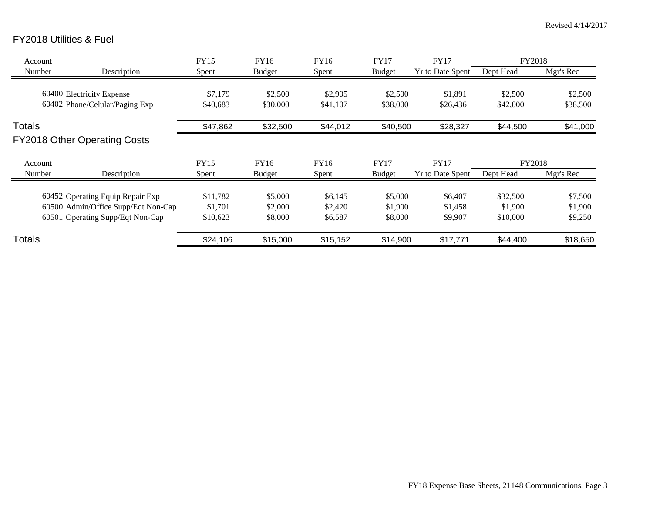# FY2018 Utilities & Fuel

| Account       |                                                                                                             | <b>FY15</b>                     | FY16                          | FY16                          | <b>FY17</b>                   | <b>FY17</b>                   | <b>FY2018</b>                   |                               |
|---------------|-------------------------------------------------------------------------------------------------------------|---------------------------------|-------------------------------|-------------------------------|-------------------------------|-------------------------------|---------------------------------|-------------------------------|
| Number        | Description                                                                                                 | Spent                           | <b>Budget</b>                 | Spent                         | <b>Budget</b>                 | <b>Yr to Date Spent</b>       | Dept Head                       | Mgr's Rec                     |
|               | 60400 Electricity Expense<br>60402 Phone/Celular/Paging Exp                                                 | \$7,179<br>\$40,683             | \$2,500<br>\$30,000           | \$2,905<br>\$41,107           | \$2,500<br>\$38,000           | \$1,891<br>\$26,436           | \$2,500<br>\$42,000             | \$2,500<br>\$38,500           |
|               |                                                                                                             |                                 |                               |                               |                               |                               |                                 |                               |
| <b>Totals</b> |                                                                                                             | \$47,862                        | \$32,500                      | \$44,012                      | \$40,500                      | \$28,327                      | \$44,500                        | \$41,000                      |
|               | <b>FY2018 Other Operating Costs</b>                                                                         |                                 |                               |                               |                               |                               |                                 |                               |
| Account       |                                                                                                             | <b>FY15</b>                     | FY16                          | FY16                          | <b>FY17</b>                   | <b>FY17</b>                   | <b>FY2018</b>                   |                               |
| Number        | Description                                                                                                 | Spent                           | <b>Budget</b>                 | Spent                         | <b>Budget</b>                 | <b>Yr to Date Spent</b>       | Dept Head                       | Mgr's Rec                     |
|               | 60452 Operating Equip Repair Exp<br>60500 Admin/Office Supp/Eqt Non-Cap<br>60501 Operating Supp/Eqt Non-Cap | \$11,782<br>\$1,701<br>\$10,623 | \$5,000<br>\$2,000<br>\$8,000 | \$6,145<br>\$2,420<br>\$6,587 | \$5,000<br>\$1,900<br>\$8,000 | \$6,407<br>\$1,458<br>\$9,907 | \$32,500<br>\$1,900<br>\$10,000 | \$7,500<br>\$1,900<br>\$9,250 |
| Totals        |                                                                                                             | \$24,106                        | \$15,000                      | \$15,152                      | \$14,900                      | \$17,771                      | \$44,400                        | \$18,650                      |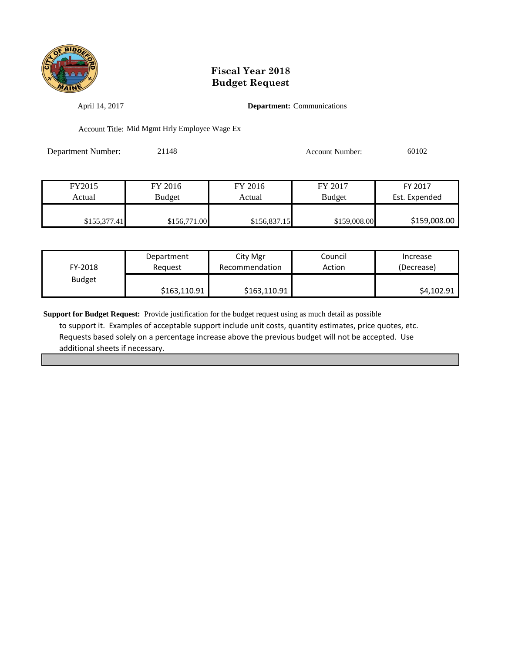

April 14, 2017 **Department:** Communications

Account Title: Mid Mgmt Hrly Employee Wage Ex

Department Number: 21148 Account Number: 60102

| FY2015       | FY 2016       | FY 2016      | FY 2017       | FY 2017       |
|--------------|---------------|--------------|---------------|---------------|
| Actual       | <b>Budget</b> | Actual       | <b>Budget</b> | Est. Expended |
|              |               |              |               |               |
| \$155,377.41 | \$156,771.00  | \$156,837.15 | \$159,008.00  | \$159,008.00  |

| FY-2018       | Department   | City Mgr       | Council | Increase   |
|---------------|--------------|----------------|---------|------------|
|               | Reauest      | Recommendation | Action  | (Decrease) |
| <b>Budget</b> | \$163,110.91 | \$163,110.91   |         | \$4,102.91 |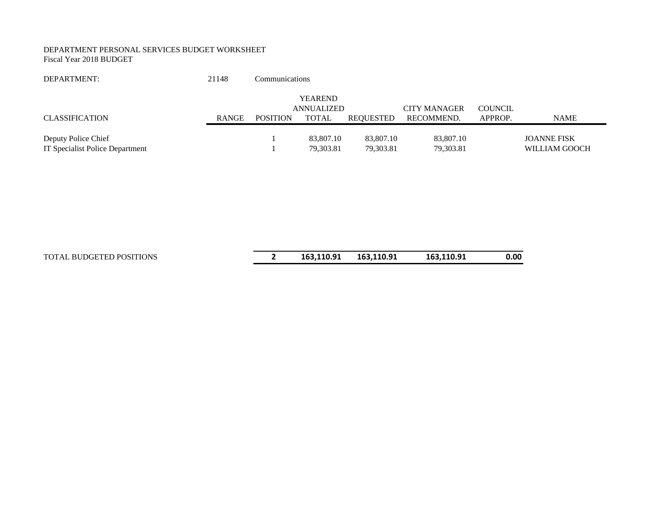#### DEPARTMENT PERSONAL SERVICES BUDGET WORKSHEET Fiscal Year 2018 BUDGET

| DEPARTMENT:                                            | 21148 | Communications  |                              |                        |                        |                |                                     |
|--------------------------------------------------------|-------|-----------------|------------------------------|------------------------|------------------------|----------------|-------------------------------------|
|                                                        |       |                 | <b>YEAREND</b><br>ANNUALIZED |                        | <b>CITY MANAGER</b>    | <b>COUNCIL</b> |                                     |
| <b>CLASSIFICATION</b>                                  | RANGE | <b>POSITION</b> | <b>TOTAL</b>                 | <b>REOUESTED</b>       | RECOMMEND.             | APPROP.        | <b>NAME</b>                         |
| Deputy Police Chief<br>IT Specialist Police Department |       |                 | 83,807.10<br>79,303.81       | 83,807.10<br>79,303.81 | 83,807.10<br>79,303.81 |                | <b>JOANNE FISK</b><br>WILLIAM GOOCH |

TOTAL BUDGETED POSITIONS **2 163,110.91 163,110.91 163,110.91 0.00**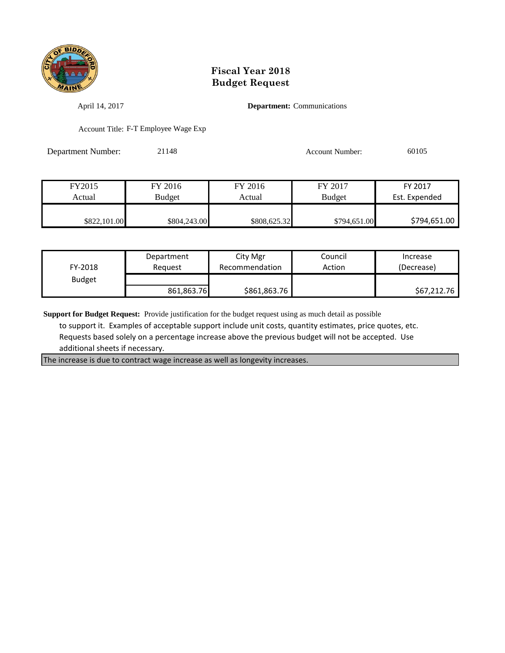

April 14, 2017 **Department:** Communications

Account Title: F-T Employee Wage Exp

Department Number: 21148 Account Number: 60105

| FY2015       | FY 2016       | FY 2016      | FY 2017       | FY 2017       |
|--------------|---------------|--------------|---------------|---------------|
| Actual       | <b>Budget</b> | Actual       | <b>Budget</b> | Est. Expended |
|              |               |              |               |               |
| \$822,101.00 | \$804,243.00  | \$808,625.32 | \$794,651.00  | \$794,651.00  |

| FY-2018       | Department<br>Reauest | City Mgr<br>Recommendation | Council<br>Action | Increase<br>(Decrease) |
|---------------|-----------------------|----------------------------|-------------------|------------------------|
| <b>Budget</b> |                       |                            |                   |                        |
|               | 861,863.76            | \$861,863.76               |                   | \$67,212.76            |

**Support for Budget Request:** Provide justification for the budget request using as much detail as possible

 to support it. Examples of acceptable support include unit costs, quantity estimates, price quotes, etc. Requests based solely on a percentage increase above the previous budget will not be accepted. Use additional sheets if necessary.

The increase is due to contract wage increase as well as longevity increases.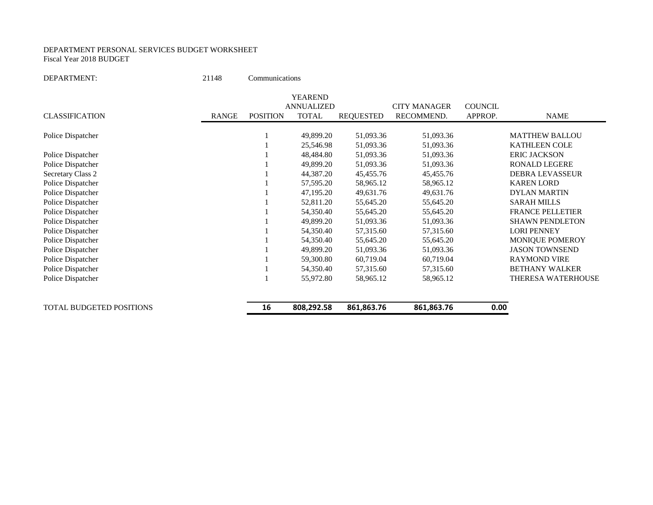#### DEPARTMENT PERSONAL SERVICES BUDGET WORKSHEET Fiscal Year 2018 BUDGET

DEPARTMENT: 21148 Communications

|                          |              |                 | <b>YEAREND</b>    |                  |                     |                |                         |
|--------------------------|--------------|-----------------|-------------------|------------------|---------------------|----------------|-------------------------|
|                          |              |                 | <b>ANNUALIZED</b> |                  | <b>CITY MANAGER</b> | <b>COUNCIL</b> |                         |
| <b>CLASSIFICATION</b>    | <b>RANGE</b> | <b>POSITION</b> | <b>TOTAL</b>      | <b>REQUESTED</b> | RECOMMEND.          | APPROP.        | <b>NAME</b>             |
| Police Dispatcher        |              |                 | 49,899.20         | 51,093.36        | 51,093.36           |                | <b>MATTHEW BALLOU</b>   |
|                          |              |                 | 25,546.98         | 51,093.36        | 51,093.36           |                | <b>KATHLEEN COLE</b>    |
| Police Dispatcher        |              |                 | 48,484.80         | 51,093.36        | 51,093.36           |                | <b>ERIC JACKSON</b>     |
| Police Dispatcher        |              |                 | 49,899.20         | 51,093.36        | 51,093.36           |                | <b>RONALD LEGERE</b>    |
| Secretary Class 2        |              |                 | 44,387.20         | 45,455.76        | 45,455.76           |                | <b>DEBRA LEVASSEUR</b>  |
| Police Dispatcher        |              |                 | 57,595.20         | 58,965.12        | 58,965.12           |                | <b>KAREN LORD</b>       |
| Police Dispatcher        |              |                 | 47,195.20         | 49,631.76        | 49,631.76           |                | <b>DYLAN MARTIN</b>     |
| Police Dispatcher        |              |                 | 52,811.20         | 55,645.20        | 55,645.20           |                | <b>SARAH MILLS</b>      |
| Police Dispatcher        |              |                 | 54,350.40         | 55,645.20        | 55,645.20           |                | <b>FRANCE PELLETIER</b> |
| Police Dispatcher        |              |                 | 49,899.20         | 51,093.36        | 51,093.36           |                | <b>SHAWN PENDLETON</b>  |
| Police Dispatcher        |              |                 | 54,350.40         | 57,315.60        | 57,315.60           |                | <b>LORI PENNEY</b>      |
| Police Dispatcher        |              |                 | 54,350.40         | 55,645.20        | 55,645.20           |                | MONIQUE POMEROY         |
| Police Dispatcher        |              |                 | 49,899.20         | 51,093.36        | 51,093.36           |                | <b>JASON TOWNSEND</b>   |
| Police Dispatcher        |              |                 | 59,300.80         | 60,719.04        | 60,719.04           |                | <b>RAYMOND VIRE</b>     |
| Police Dispatcher        |              |                 | 54,350.40         | 57,315.60        | 57,315.60           |                | <b>BETHANY WALKER</b>   |
| Police Dispatcher        |              |                 | 55,972.80         | 58,965.12        | 58,965.12           |                | THERESA WATERHOUSE      |
| TOTAL BUDGETED POSITIONS |              | 16              | 808,292.58        | 861,863.76       | 861,863.76          | 0.00           |                         |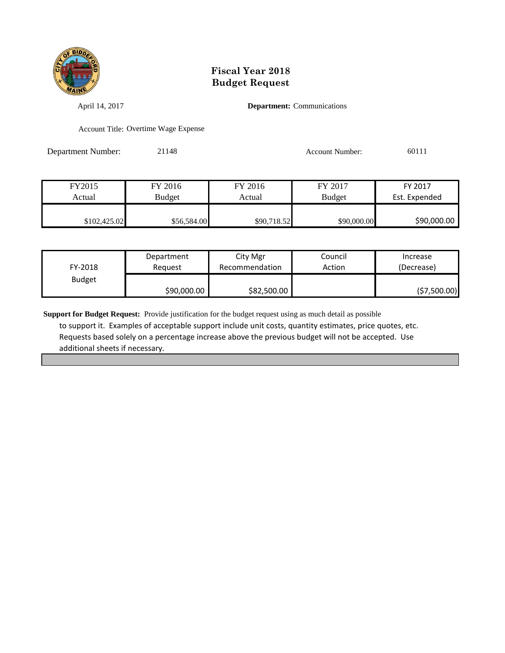

April 14, 2017 **Department:** Communications

Account Title: Overtime Wage Expense

Department Number: 21148 Account Number: 60111

FY2015 FY 2016 FY 2016 FY 2017 FY 2017 Actual Budget Actual Budget Actual Budget Est. Expended \$102,425.02 \$56,584.00 \$90,718.52 \$90,000.00 \$90,000.00

| FY-2018       | Department  | City Mgr       | Council | Increase    |
|---------------|-------------|----------------|---------|-------------|
|               | Reauest     | Recommendation | Action  | (Decrease)  |
| <b>Budget</b> | \$90,000.00 | \$82,500.00    |         | (57,500.00) |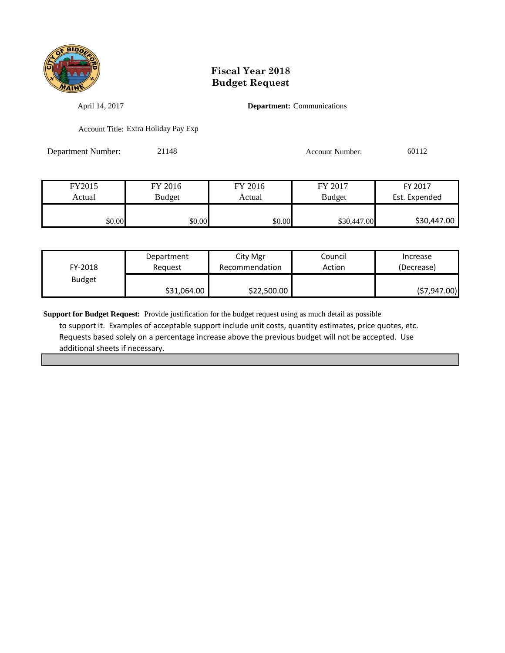

April 14, 2017 **Department:** Communications

Account Title: Extra Holiday Pay Exp

Department Number: 21148 Account Number: 60112

| FY2015 | FY 2016 |        | FY 2017       | FY 2017       |
|--------|---------|--------|---------------|---------------|
| Actual | Budget  | Actual | <b>Budget</b> | Est. Expended |
|        |         |        |               |               |
| \$0.00 | \$0.00  | \$0.00 | \$30,447.00   | \$30,447.00   |

| FY-2018       | Department  | City Mgr       | Council | Increase     |
|---------------|-------------|----------------|---------|--------------|
|               | Reauest     | Recommendation | Action  | (Decrease)   |
| <b>Budget</b> | \$31,064.00 | \$22,500.00    |         | (57, 947.00) |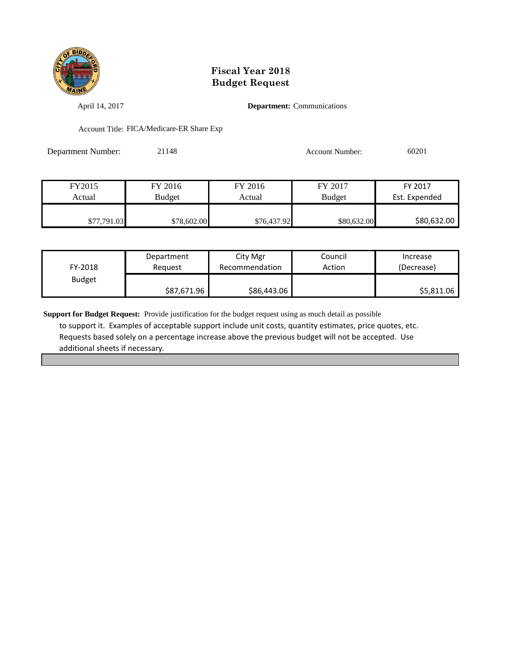

April 14, 2017 **Department:** Communications

Account Title: FICA/Medicare-ER Share Exp

Department Number: 21148 Account Number: 60201

| FY2015      | FY 2016     | FY 2016     | FY 2017       | FY 2017       |
|-------------|-------------|-------------|---------------|---------------|
| Actual      | Budget      | Actual      | <b>Budget</b> | Est. Expended |
|             |             |             |               |               |
| \$77,791.03 | \$78,602.00 | \$76,437.92 | \$80,632.00   | \$80,632.00   |

| FY-2018       | Department  | City Mgr       | Council | Increase   |
|---------------|-------------|----------------|---------|------------|
|               | Reauest     | Recommendation | Action  | (Decrease) |
| <b>Budget</b> | \$87,671.96 | \$86,443.06    |         | \$5,811.06 |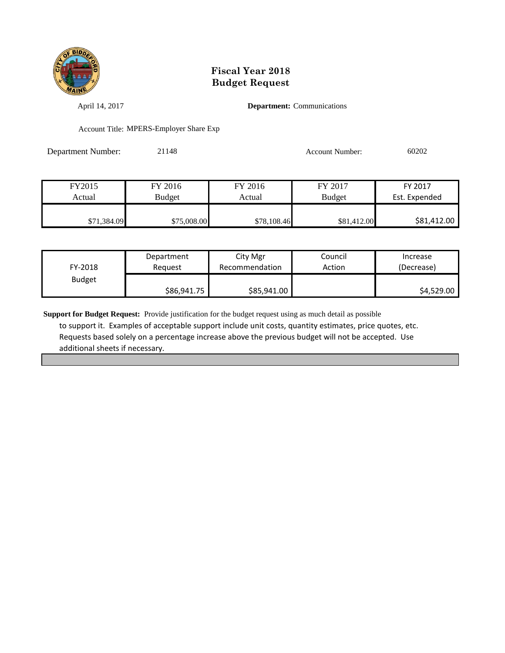

April 14, 2017 **Department:** Communications

Account Title: MPERS-Employer Share Exp

Department Number: 21148 Account Number: 60202

| FY2015      | FY 2016       | FY 2016     | FY 2017       | FY 2017       |
|-------------|---------------|-------------|---------------|---------------|
| Actual      | <b>Budget</b> | Actual      | <b>Budget</b> | Est. Expended |
|             |               |             |               |               |
| \$71,384.09 | \$75,008.00   | \$78,108.46 | \$81,412.00   | \$81,412.00   |

| FY-2018       | Department  | City Mgr       | Council | Increase   |
|---------------|-------------|----------------|---------|------------|
|               | Reauest     | Recommendation | Action  | (Decrease) |
| <b>Budget</b> | \$86,941.75 | \$85,941.00    |         | \$4,529.00 |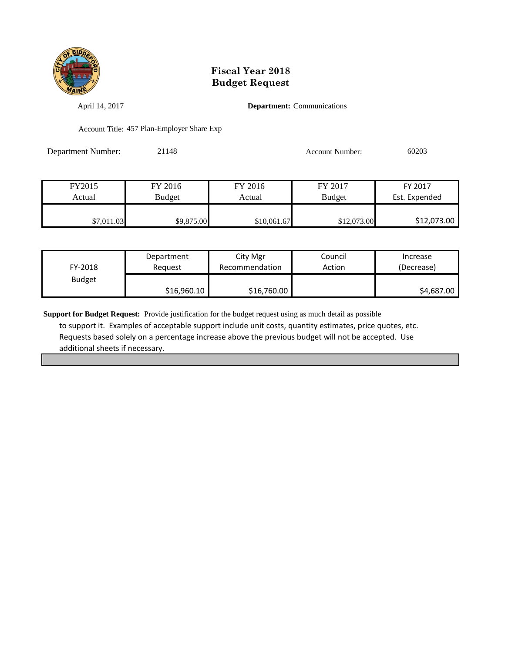

April 14, 2017 **Department:** Communications

Account Title: 457 Plan-Employer Share Exp

Department Number: 21148 Account Number: 60203

| FY2015     | FY 2016       | FY 2016     | FY 2017       | FY 2017       |
|------------|---------------|-------------|---------------|---------------|
| Actual     | <b>Budget</b> | Actual      | <b>Budget</b> | Est. Expended |
|            |               |             |               |               |
| \$7,011.03 | \$9,875.00    | \$10,061.67 | \$12,073.00   | \$12,073.00   |

| FY-2018       | Department  | City Mgr       | Council | Increase   |
|---------------|-------------|----------------|---------|------------|
|               | Reauest     | Recommendation | Action  | (Decrease) |
| <b>Budget</b> | \$16,960.10 | \$16,760.00    |         | \$4,687.00 |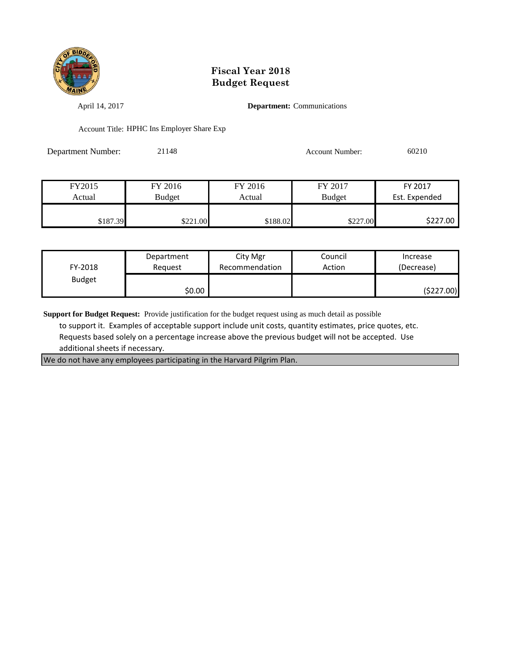

April 14, 2017 **Department:** Communications

Account Title: HPHC Ins Employer Share Exp

Department Number: 21148 Account Number: 60210

| FY2015   | FY 2016       | FY 2016  | FY 2017       | FY 2017       |
|----------|---------------|----------|---------------|---------------|
| Actual   | <b>Budget</b> | Actual   | <b>Budget</b> | Est. Expended |
|          |               |          |               |               |
| \$187.39 | \$221.00      | \$188.02 | \$227.00      | \$227.00      |

| FY-2018       | Department | City Mgr       | Council | Increase   |
|---------------|------------|----------------|---------|------------|
|               | Reauest    | Recommendation | Action  | (Decrease) |
| <b>Budget</b> | \$0.00     |                |         | (\$227.00) |

**Support for Budget Request:** Provide justification for the budget request using as much detail as possible

 to support it. Examples of acceptable support include unit costs, quantity estimates, price quotes, etc. Requests based solely on a percentage increase above the previous budget will not be accepted. Use additional sheets if necessary.

We do not have any employees participating in the Harvard Pilgrim Plan.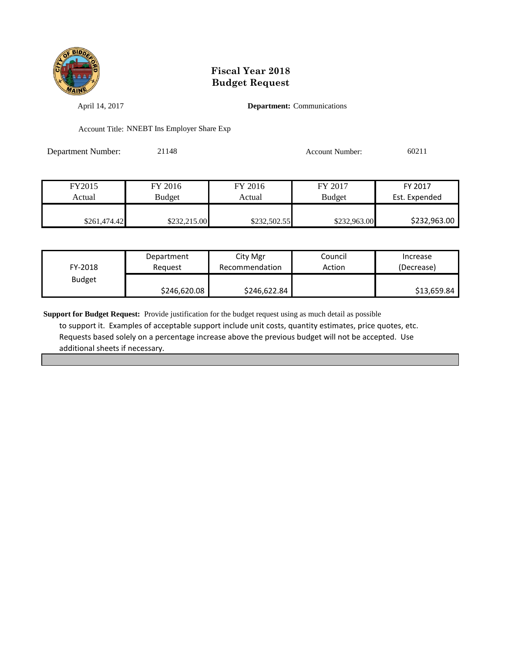

April 14, 2017 **Department:** Communications

Account Title: NNEBT Ins Employer Share Exp

Department Number: 21148 Account Number: 60211

| FY2015       | FY 2016       | FY 2016      | FY 2017       | FY 2017       |
|--------------|---------------|--------------|---------------|---------------|
| Actual       | <b>Budget</b> | Actual       | <b>Budget</b> | Est. Expended |
|              |               |              |               |               |
| \$261,474.42 | \$232,215.00  | \$232,502.55 | \$232,963.00  | \$232,963.00  |

| FY-2018       | Department   | City Mgr       | Council | Increase    |
|---------------|--------------|----------------|---------|-------------|
|               | Reauest      | Recommendation | Action  | (Decrease)  |
| <b>Budget</b> | \$246,620.08 | \$246,622.84   |         | \$13,659.84 |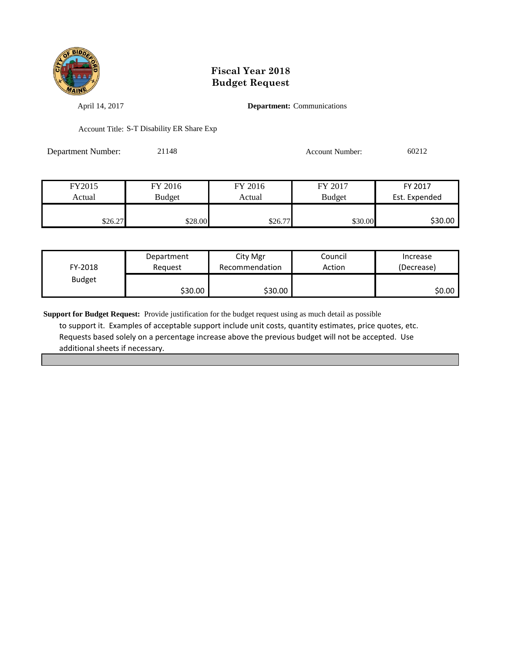

April 14, 2017 **Department:** Communications

Account Title: S-T Disability ER Share Exp

Department Number: 21148 Account Number: 60212

| FY2015  | FY 2016 | FY 2016 | FY 2017       | FY 2017       |
|---------|---------|---------|---------------|---------------|
| Actual  | Budget  | Actual  | <b>Budget</b> | Est. Expended |
|         |         |         |               |               |
| \$26.27 | \$28.00 | \$26.77 | \$30.00       | \$30.00       |

| FY-2018       | Department | City Mgr       | Council | Increase   |
|---------------|------------|----------------|---------|------------|
|               | Reauest    | Recommendation | Action  | (Decrease) |
| <b>Budget</b> | \$30.00    | \$30.00        |         | SO.OO I    |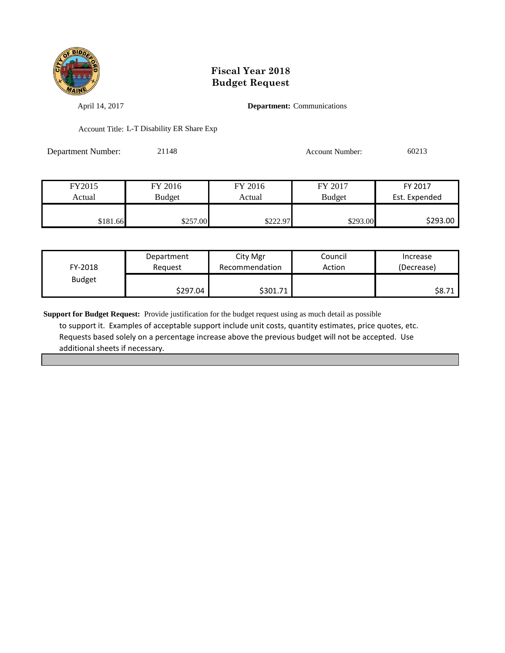

April 14, 2017 **Department:** Communications

Account Title: L-T Disability ER Share Exp

Department Number: 21148 Account Number: 60213

| FY2015   | FY 2016  | FY 2016  | FY 2017       | FY 2017       |
|----------|----------|----------|---------------|---------------|
| Actual   | Budget   | Actual   | <b>Budget</b> | Est. Expended |
|          |          |          |               |               |
| \$181.66 | \$257.00 | \$222.97 | \$293.00      | \$293.00      |

| FY-2018       | Department | City Mgr       | Council | Increase   |
|---------------|------------|----------------|---------|------------|
|               | Reauest    | Recommendation | Action  | (Decrease) |
| <b>Budget</b> | \$297.04   | \$301.71       |         | \$8.71     |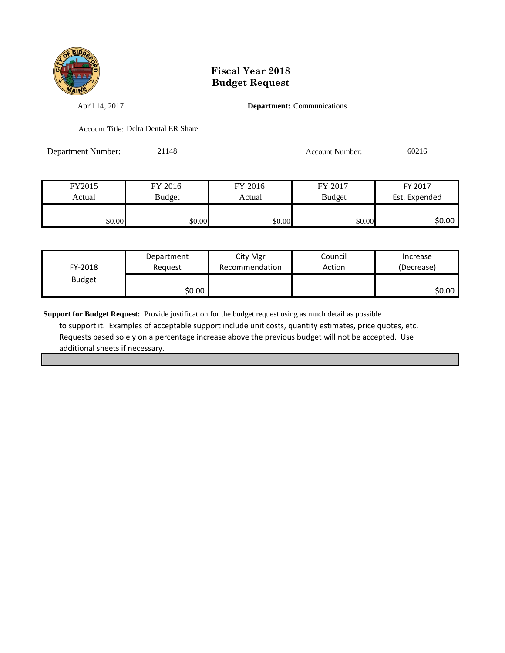

April 14, 2017 **Department:** Communications

Account Title: Delta Dental ER Share

Department Number: 21148 Account Number: 60216

FY2015 FY 2016 FY 2016 FY 2017 FY 2017 Actual Budget Actual Budget Est. Expended \$0.00 \$0.00 \$0.00 \$0.00 \$0.00 \$0.00 \$0.00 \$0.00

| FY-2018       | Department<br>Reguest | City Mgr<br>Recommendation | Council<br>Action | Increase<br>(Decrease) |
|---------------|-----------------------|----------------------------|-------------------|------------------------|
| <b>Budget</b> | \$0.00                |                            |                   | \$0.00                 |
|               |                       |                            |                   |                        |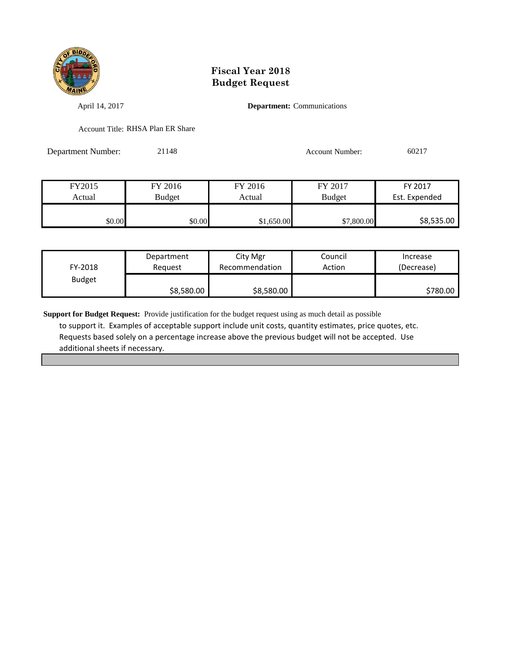

April 14, 2017 **Department:** Communications

Account Title: RHSA Plan ER Share

Department Number: 21148 Account Number: 60217

| FY2015 | FY 2016       | FY 2016    | FY 2017       | FY 2017       |
|--------|---------------|------------|---------------|---------------|
| Actual | <b>Budget</b> | Actual     | <b>Budget</b> | Est. Expended |
|        |               |            |               |               |
| \$0.00 | \$0.00        | \$1,650.00 | \$7,800.00    | \$8,535.00    |

| FY-2018       | Department | City Mgr       | Council | Increase   |
|---------------|------------|----------------|---------|------------|
|               | Reauest    | Recommendation | Action  | (Decrease) |
| <b>Budget</b> | \$8,580.00 | \$8,580.00     |         | \$780.00   |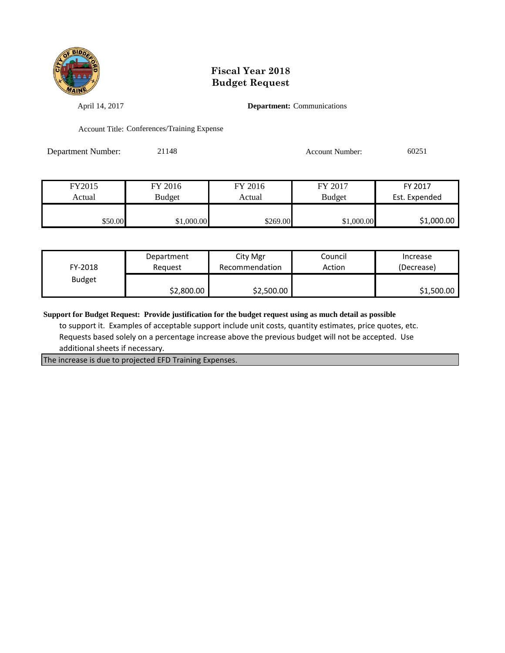

April 14, 2017 **Department:** Communications

Account Title: Conferences/Training Expense

Department Number: 21148 Account Number: 60251

| FY2015  | FY 2016       | FY 2016  | FY 2017       | FY 2017       |
|---------|---------------|----------|---------------|---------------|
| Actual  | <b>Budget</b> | Actual   | <b>Budget</b> | Est. Expended |
|         |               |          |               |               |
| \$50.00 | \$1,000.00    | \$269.00 | \$1,000.00    | \$1,000.00    |

| FY-2018       | Department | City Mgr       | Council | Increase   |
|---------------|------------|----------------|---------|------------|
|               | Reguest    | Recommendation | Action  | (Decrease) |
| <b>Budget</b> | \$2,800.00 | \$2,500.00     |         | \$1,500.00 |

**Support for Budget Request: Provide justification for the budget request using as much detail as possible**

 to support it. Examples of acceptable support include unit costs, quantity estimates, price quotes, etc. Requests based solely on a percentage increase above the previous budget will not be accepted. Use additional sheets if necessary.

The increase is due to projected EFD Training Expenses.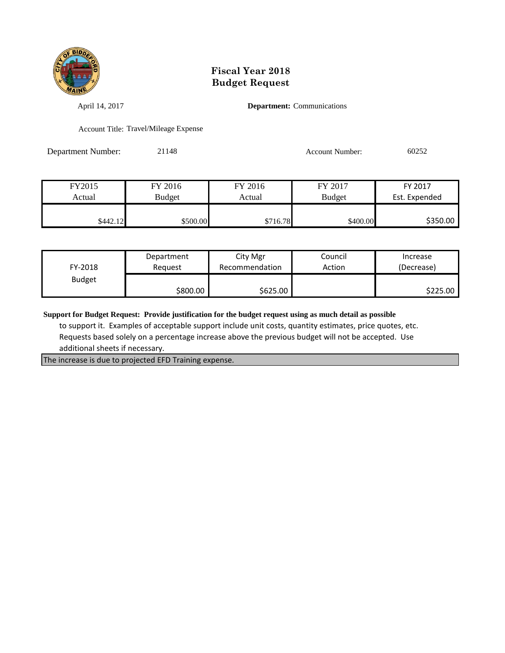

April 14, 2017 **Department:** Communications

Account Title: Travel/Mileage Expense

Department Number: 21148 Account Number: 60252

| FY2015   | FY 2016  | FY 2016  | FY 2017       | FY 2017       |
|----------|----------|----------|---------------|---------------|
| Actual   | Budget   | Actual   | <b>Budget</b> | Est. Expended |
|          |          |          |               |               |
| \$442.12 | \$500.00 | \$716.78 | \$400.00      | \$350.00      |

| FY-2018       | Department | City Mgr       | Council | Increase   |
|---------------|------------|----------------|---------|------------|
|               | Reauest    | Recommendation | Action  | (Decrease) |
| <b>Budget</b> | \$800.00   | \$625.00       |         | \$225.00   |

**Support for Budget Request: Provide justification for the budget request using as much detail as possible**

 to support it. Examples of acceptable support include unit costs, quantity estimates, price quotes, etc. Requests based solely on a percentage increase above the previous budget will not be accepted. Use additional sheets if necessary.

The increase is due to projected EFD Training expense.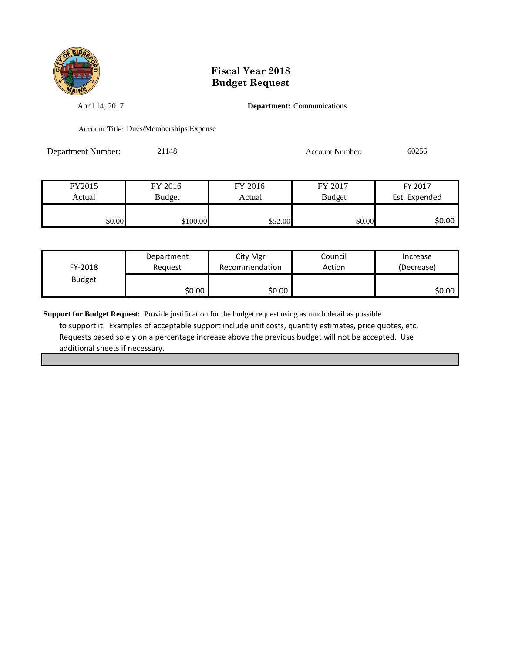

April 14, 2017 **Department:** Communications

Account Title: Dues/Memberships Expense

Department Number: 21148 Account Number: 60256

FY2015 FY 2016 FY 2016 FY 2017 FY 2017 Actual Budget Actual Budget Est. Expended \$100.00 \$100.00 \$52.00 \$0.00 \$0.00 \$0.00

| FY-2018       | Department | City Mgr       | Council | Increase   |
|---------------|------------|----------------|---------|------------|
|               | Reguest    | Recommendation | Action  | (Decrease) |
| <b>Budget</b> | \$0.00     | \$0.00         |         | \$0.00     |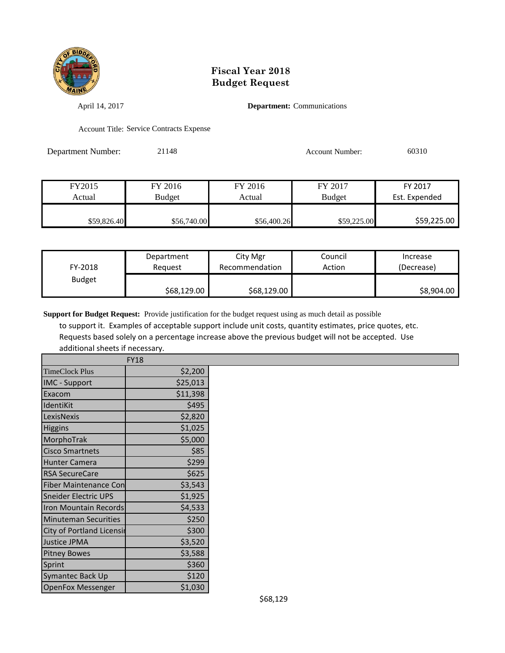

April 14, 2017 **Department:** Communications

Account Title: Service Contracts Expense

Department Number: 21148 Account Number: 60310

| FY2015      | FY 2016       | FY 2016     | FY 2017       | FY 2017       |
|-------------|---------------|-------------|---------------|---------------|
| Actual      | <b>Budget</b> | Actual      | <b>Budget</b> | Est. Expended |
|             |               |             |               |               |
| \$59,826.40 | \$56,740.00   | \$56,400.26 | \$59,225.00   | \$59,225.00   |

| FY-2018       | Department  | City Mgr       | Council | Increase   |
|---------------|-------------|----------------|---------|------------|
|               | Reauest     | Recommendation | Action  | (Decrease) |
| <b>Budget</b> | \$68,129.00 | \$68,129.00    |         | \$8,904.00 |

**Support for Budget Request:** Provide justification for the budget request using as much detail as possible

 to support it. Examples of acceptable support include unit costs, quantity estimates, price quotes, etc. Requests based solely on a percentage increase above the previous budget will not be accepted. Use additional sheets if necessary.

|                                  | <b>FY18</b> |
|----------------------------------|-------------|
| <b>TimeClock Plus</b>            | \$2,200     |
| <b>IMC</b> - Support             | \$25,013    |
| Exacom                           | \$11,398    |
| IdentiKit                        | \$495       |
| LexisNexis                       | \$2,820     |
| <b>Higgins</b>                   | \$1,025     |
| MorphoTrak                       | \$5,000     |
| <b>Cisco Smartnets</b>           | \$85        |
| <b>Hunter Camera</b>             | \$299       |
| <b>RSA SecureCare</b>            | \$625       |
| <b>Fiber Maintenance Con</b>     | \$3,543     |
| <b>Sneider Electric UPS</b>      | \$1,925     |
| Iron Mountain Records            | \$4,533     |
| <b>Minuteman Securities</b>      | \$250       |
| <b>City of Portland Licensir</b> | \$300       |
| Justice JPMA                     | \$3,520     |
| <b>Pitney Bowes</b>              | \$3,588     |
| Sprint                           | \$360       |
| Symantec Back Up                 | \$120       |
| <b>OpenFox Messenger</b>         | \$1,030     |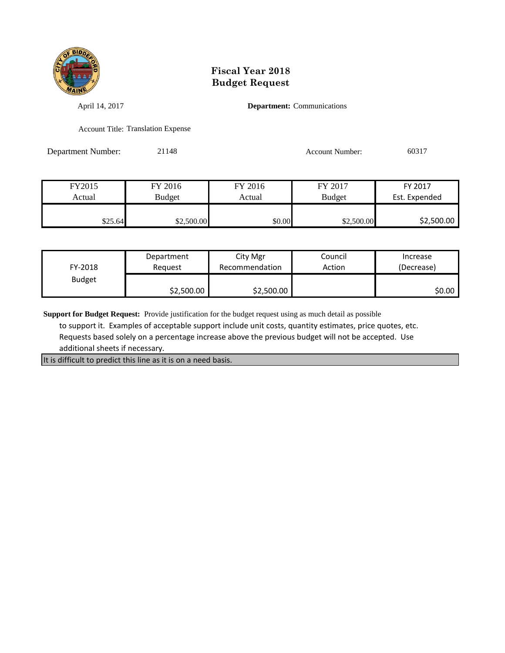

April 14, 2017 **Department:** Communications

Account Title: Translation Expense

Department Number: 21148 Account Number: 60317

| FY2015  | FY 2016    | FY 2016 | FY 2017       | FY 2017       |
|---------|------------|---------|---------------|---------------|
| Actual  | Budget     | Actual  | <b>Budget</b> | Est. Expended |
|         |            |         |               |               |
| \$25.64 | \$2,500.00 | \$0.00  | \$2,500.00    | \$2,500.00    |

| FY-2018       | Department | City Mgr       | Council | Increase   |
|---------------|------------|----------------|---------|------------|
|               | Reauest    | Recommendation | Action  | (Decrease) |
| <b>Budget</b> | \$2,500.00 | \$2,500.00     |         | \$0.00     |

**Support for Budget Request:** Provide justification for the budget request using as much detail as possible

 to support it. Examples of acceptable support include unit costs, quantity estimates, price quotes, etc. Requests based solely on a percentage increase above the previous budget will not be accepted. Use additional sheets if necessary.

It is difficult to predict this line as it is on a need basis.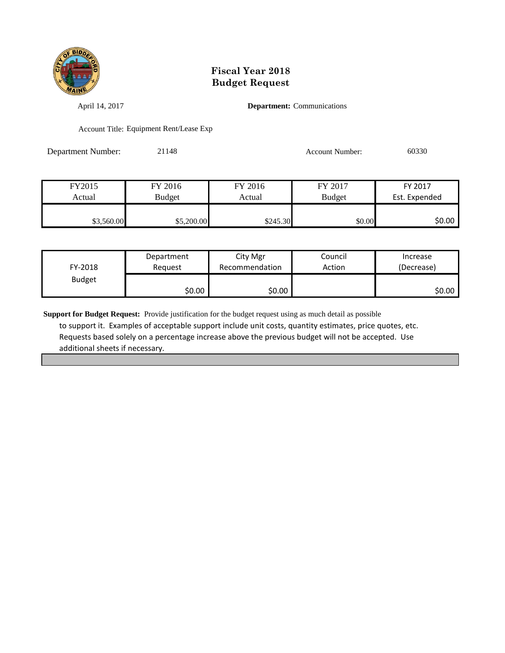

April 14, 2017 **Department:** Communications

Account Title: Equipment Rent/Lease Exp

Department Number: 21148 Account Number: 60330

| FY2015     | FY 2016    | FY 2016  | FY 2017       | FY 2017       |
|------------|------------|----------|---------------|---------------|
| Actual     | Budget     | Actual   | <b>Budget</b> | Est. Expended |
|            |            |          |               |               |
| \$3,560.00 | \$5,200.00 | \$245.30 | \$0.00        | \$0.00        |

| FY-2018       | Department | City Mgr       | Council | Increase   |
|---------------|------------|----------------|---------|------------|
|               | Reauest    | Recommendation | Action  | (Decrease) |
| <b>Budget</b> | \$0.00     | \$0.00         |         | \$0.00     |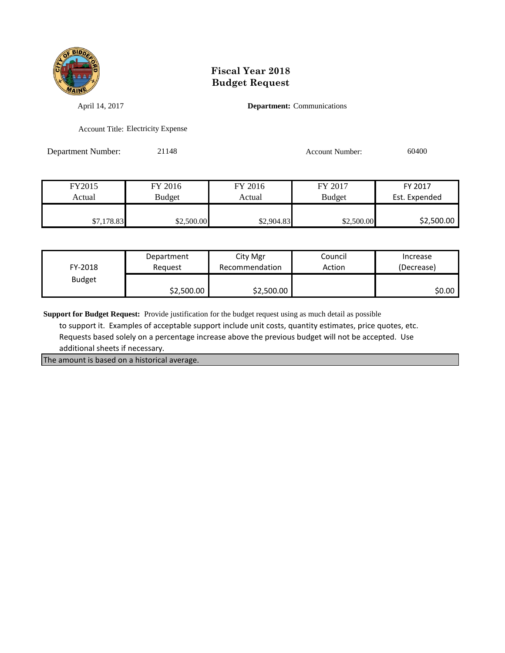

April 14, 2017 **Department:** Communications

Account Title: Electricity Expense

Department Number: 21148 Account Number: 60400

| FY2015     | FY 2016       | FY 2016    | FY 2017       | FY 2017       |
|------------|---------------|------------|---------------|---------------|
| Actual     | <b>Budget</b> | Actual     | <b>Budget</b> | Est. Expended |
|            |               |            |               |               |
| \$7,178.83 | \$2,500.00    | \$2,904.83 | \$2,500.00    | \$2,500.00    |

| FY-2018       | Department | City Mgr       | Council | Increase   |
|---------------|------------|----------------|---------|------------|
|               | Reauest    | Recommendation | Action  | (Decrease) |
| <b>Budget</b> | \$2,500.00 | \$2,500.00     |         | ا 50.00    |

**Support for Budget Request:** Provide justification for the budget request using as much detail as possible

 to support it. Examples of acceptable support include unit costs, quantity estimates, price quotes, etc. Requests based solely on a percentage increase above the previous budget will not be accepted. Use additional sheets if necessary.

The amount is based on a historical average.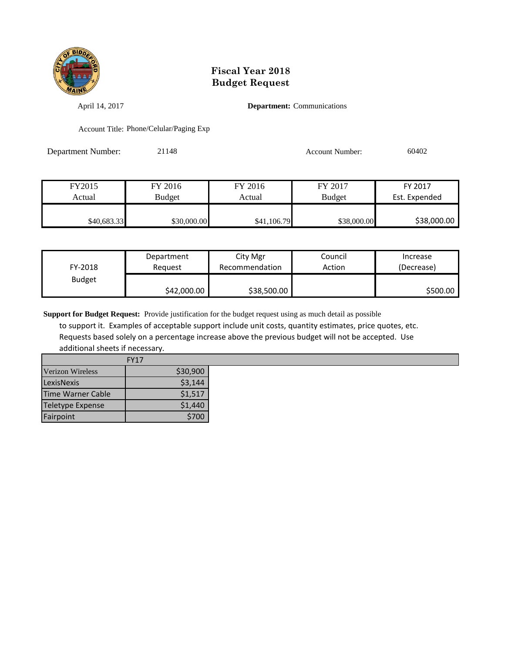

April 14, 2017 **Department:** Communications

Account Title: Phone/Celular/Paging Exp

Department Number: 21148 Account Number: 60402

| FY2015      | FY 2016     | FY 2016     | FY 2017       | FY 2017       |
|-------------|-------------|-------------|---------------|---------------|
| Actual      | Budget      | Actual      | <b>Budget</b> | Est. Expended |
|             |             |             |               |               |
| \$40,683.33 | \$30,000.00 | \$41,106.79 | \$38,000.00   | \$38,000.00   |

| FY-2018       | Department  | City Mgr       | Council | Increase   |
|---------------|-------------|----------------|---------|------------|
|               | Reauest     | Recommendation | Action  | (Decrease) |
| <b>Budget</b> | \$42,000.00 | \$38,500.00    |         | \$500.00   |

**Support for Budget Request:** Provide justification for the budget request using as much detail as possible

 to support it. Examples of acceptable support include unit costs, quantity estimates, price quotes, etc. Requests based solely on a percentage increase above the previous budget will not be accepted. Use additional sheets if necessary.

|                         | <b>FY17</b> |
|-------------------------|-------------|
| Verizon Wireless        | \$30,900    |
| LexisNexis              | \$3,144     |
| Time Warner Cable       | \$1,517     |
| <b>Teletype Expense</b> | \$1,440     |
| Fairpoint               | \$700       |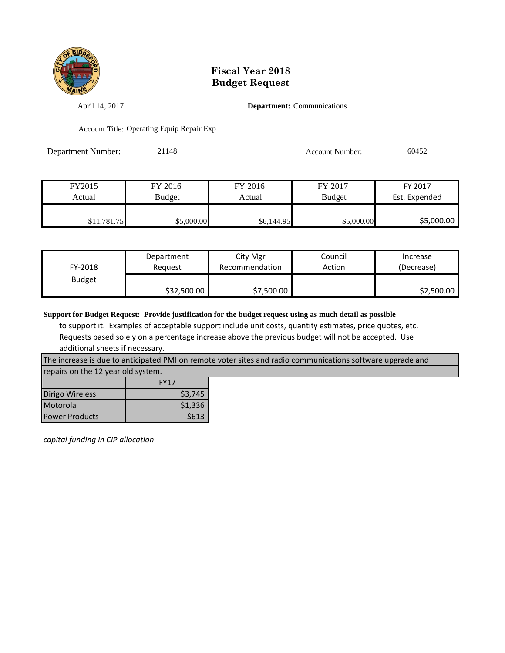

April 14, 2017 **Department:** Communications

Account Title: Operating Equip Repair Exp

Department Number: 21148 Account Number: 60452

| FY2015      | FY 2016       | FY 2016    | FY 2017       | FY 2017       |
|-------------|---------------|------------|---------------|---------------|
| Actual      | <b>Budget</b> | Actual     | <b>Budget</b> | Est. Expended |
|             |               |            |               |               |
| \$11,781.75 | \$5,000.00    | \$6,144.95 | \$5,000.00    | \$5,000.00    |

| FY-2018       | Department  | City Mgr       | Council | Increase   |
|---------------|-------------|----------------|---------|------------|
|               | Reguest     | Recommendation | Action  | (Decrease) |
| <b>Budget</b> | \$32,500.00 | \$7,500.00     |         | \$2,500.00 |

**Support for Budget Request: Provide justification for the budget request using as much detail as possible**

 to support it. Examples of acceptable support include unit costs, quantity estimates, price quotes, etc. Requests based solely on a percentage increase above the previous budget will not be accepted. Use additional sheets if necessary.

The increase is due to anticipated PMI on remote voter sites and radio communications software upgrade and repairs on the 12 year old system.

|                       | <b>FY17</b> |
|-----------------------|-------------|
| Dirigo Wireless       | \$3,745     |
| Motorola              | \$1,336     |
| <b>Power Products</b> | \$613       |

*capital funding in CIP allocation*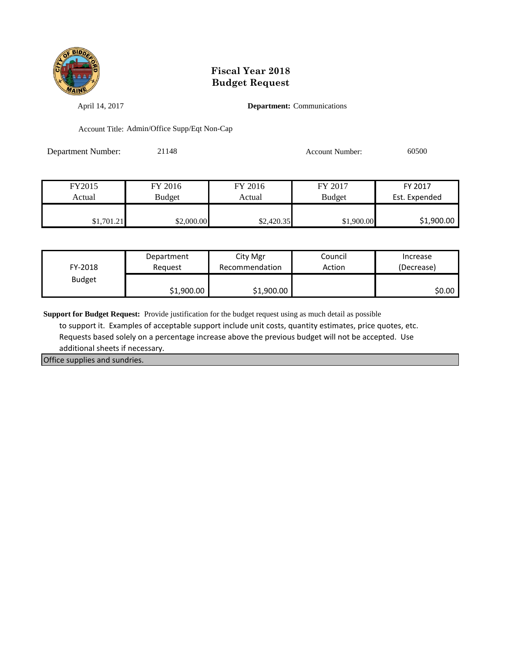

April 14, 2017 **Department:** Communications

Account Title: Admin/Office Supp/Eqt Non-Cap

Department Number: 21148 Account Number: 60500

| FY2015     | FY 2016    | FY 2016    | FY 2017       | FY 2017       |
|------------|------------|------------|---------------|---------------|
| Actual     | Budget     | Actual     | <b>Budget</b> | Est. Expended |
|            |            |            |               |               |
| \$1,701.21 | \$2,000.00 | \$2,420.35 | \$1,900.00    | \$1,900.00    |

| FY-2018       | Department | City Mgr       | Council | Increase   |
|---------------|------------|----------------|---------|------------|
|               | Reauest    | Recommendation | Action  | (Decrease) |
| <b>Budget</b> | \$1,900.00 | \$1,900.00     |         | \$0.00     |

**Support for Budget Request:** Provide justification for the budget request using as much detail as possible

 to support it. Examples of acceptable support include unit costs, quantity estimates, price quotes, etc. Requests based solely on a percentage increase above the previous budget will not be accepted. Use additional sheets if necessary.

Office supplies and sundries.